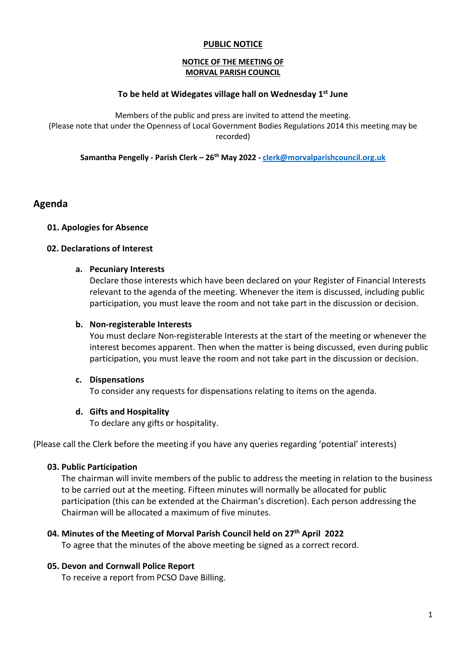# PUBLIC NOTICE

#### NOTICE OF THE MEETING OF MORVAL PARISH COUNCIL

# To be held at Widegates village hall on Wednesday  $1<sup>st</sup>$  June

Members of the public and press are invited to attend the meeting. (Please note that under the Openness of Local Government Bodies Regulations 2014 this meeting may be recorded)

Samantha Pengelly - Parish Clerk – 26<sup>th</sup> May 2022 - clerk@morvalparishcouncil.org.uk

# Agenda

#### 01. Apologies for Absence

#### 02. Declarations of Interest

#### a. Pecuniary Interests

Declare those interests which have been declared on your Register of Financial Interests relevant to the agenda of the meeting. Whenever the item is discussed, including public participation, you must leave the room and not take part in the discussion or decision.

#### b. Non-registerable Interests

You must declare Non-registerable Interests at the start of the meeting or whenever the interest becomes apparent. Then when the matter is being discussed, even during public participation, you must leave the room and not take part in the discussion or decision.

#### c. Dispensations

To consider any requests for dispensations relating to items on the agenda.

#### d. Gifts and Hospitality

To declare any gifts or hospitality.

(Please call the Clerk before the meeting if you have any queries regarding 'potential' interests)

#### 03. Public Participation

The chairman will invite members of the public to address the meeting in relation to the business to be carried out at the meeting. Fifteen minutes will normally be allocated for public participation (this can be extended at the Chairman's discretion). Each person addressing the Chairman will be allocated a maximum of five minutes.

#### 04. Minutes of the Meeting of Morval Parish Council held on 27<sup>th</sup> April 2022

To agree that the minutes of the above meeting be signed as a correct record.

#### 05. Devon and Cornwall Police Report

To receive a report from PCSO Dave Billing.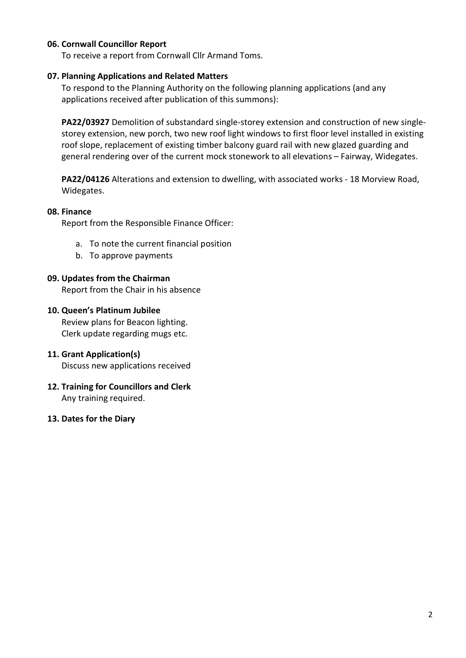# 06. Cornwall Councillor Report

To receive a report from Cornwall Cllr Armand Toms.

# 07. Planning Applications and Related Matters

To respond to the Planning Authority on the following planning applications (and any applications received after publication of this summons):

PA22/03927 Demolition of substandard single-storey extension and construction of new singlestorey extension, new porch, two new roof light windows to first floor level installed in existing roof slope, replacement of existing timber balcony guard rail with new glazed guarding and general rendering over of the current mock stonework to all elevations – Fairway, Widegates.

PA22/04126 Alterations and extension to dwelling, with associated works - 18 Morview Road, Widegates.

#### 08. Finance

Report from the Responsible Finance Officer:

- a. To note the current financial position
- b. To approve payments

# 09. Updates from the Chairman

Report from the Chair in his absence

# 10. Queen's Platinum Jubilee

Review plans for Beacon lighting. Clerk update regarding mugs etc.

# 11. Grant Application(s)

Discuss new applications received

- 12. Training for Councillors and Clerk Any training required.
- 13. Dates for the Diary